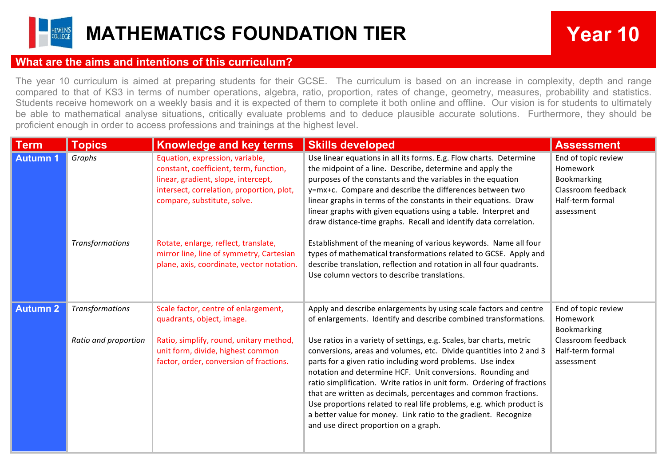

## **What are the aims and intentions of this curriculum?**

The year 10 curriculum is aimed at preparing students for their GCSE. The curriculum is based on an increase in complexity, depth and range compared to that of KS3 in terms of number operations, algebra, ratio, proportion, rates of change, geometry, measures, probability and statistics. Students receive homework on a weekly basis and it is expected of them to complete it both online and offline. Our vision is for students to ultimately be able to mathematical analyse situations, critically evaluate problems and to deduce plausible accurate solutions. Furthermore, they should be proficient enough in order to access professions and trainings at the highest level.

| <b>Term</b>     | <b>Topics</b>                                  | Knowledge and key terms                                                                                                                                                                      | <b>Skills developed</b>                                                                                                                                                                                                                                                                                                                                                                                                                                                                                                                                                                                                                                                                                                                           | <b>Assessment</b>                                                                                      |
|-----------------|------------------------------------------------|----------------------------------------------------------------------------------------------------------------------------------------------------------------------------------------------|---------------------------------------------------------------------------------------------------------------------------------------------------------------------------------------------------------------------------------------------------------------------------------------------------------------------------------------------------------------------------------------------------------------------------------------------------------------------------------------------------------------------------------------------------------------------------------------------------------------------------------------------------------------------------------------------------------------------------------------------------|--------------------------------------------------------------------------------------------------------|
| <b>Autumn 1</b> | Graphs                                         | Equation, expression, variable,<br>constant, coefficient, term, function,<br>linear, gradient, slope, intercept,<br>intersect, correlation, proportion, plot,<br>compare, substitute, solve. | Use linear equations in all its forms. E.g. Flow charts. Determine<br>the midpoint of a line. Describe, determine and apply the<br>purposes of the constants and the variables in the equation<br>y=mx+c. Compare and describe the differences between two<br>linear graphs in terms of the constants in their equations. Draw<br>linear graphs with given equations using a table. Interpret and<br>draw distance-time graphs. Recall and identify data correlation.                                                                                                                                                                                                                                                                             | End of topic review<br>Homework<br>Bookmarking<br>Classroom feedback<br>Half-term formal<br>assessment |
|                 | <b>Transformations</b>                         | Rotate, enlarge, reflect, translate,<br>mirror line, line of symmetry, Cartesian<br>plane, axis, coordinate, vector notation.                                                                | Establishment of the meaning of various keywords. Name all four<br>types of mathematical transformations related to GCSE. Apply and<br>describe translation, reflection and rotation in all four quadrants.<br>Use column vectors to describe translations.                                                                                                                                                                                                                                                                                                                                                                                                                                                                                       |                                                                                                        |
| <b>Autumn 2</b> | <b>Transformations</b><br>Ratio and proportion | Scale factor, centre of enlargement,<br>quadrants, object, image.<br>Ratio, simplify, round, unitary method,<br>unit form, divide, highest common<br>factor, order, conversion of fractions. | Apply and describe enlargements by using scale factors and centre<br>of enlargements. Identify and describe combined transformations.<br>Use ratios in a variety of settings, e.g. Scales, bar charts, metric<br>conversions, areas and volumes, etc. Divide quantities into 2 and 3<br>parts for a given ratio including word problems. Use index<br>notation and determine HCF. Unit conversions. Rounding and<br>ratio simplification. Write ratios in unit form. Ordering of fractions<br>that are written as decimals, percentages and common fractions.<br>Use proportions related to real life problems, e.g. which product is<br>a better value for money. Link ratio to the gradient. Recognize<br>and use direct proportion on a graph. | End of topic review<br>Homework<br>Bookmarking<br>Classroom feedback<br>Half-term formal<br>assessment |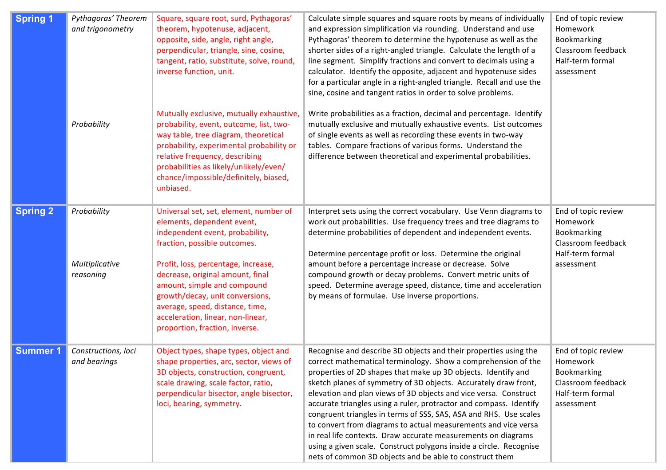| <b>Spring 1</b> | Pythagoras' Theorem<br>and trigonometry    | Square, square root, surd, Pythagoras'<br>theorem, hypotenuse, adjacent,<br>opposite, side, angle, right angle,<br>perpendicular, triangle, sine, cosine,<br>tangent, ratio, substitute, solve, round,<br>inverse function, unit.                                                                                                                                                              | Calculate simple squares and square roots by means of individually<br>and expression simplification via rounding. Understand and use<br>Pythagoras' theorem to determine the hypotenuse as well as the<br>shorter sides of a right-angled triangle. Calculate the length of a<br>line segment. Simplify fractions and convert to decimals using a<br>calculator. Identify the opposite, adjacent and hypotenuse sides<br>for a particular angle in a right-angled triangle. Recall and use the<br>sine, cosine and tangent ratios in order to solve problems.                                                                                                                                                                                            | End of topic review<br>Homework<br>Bookmarking<br>Classroom feedback<br>Half-term formal<br>assessment |
|-----------------|--------------------------------------------|------------------------------------------------------------------------------------------------------------------------------------------------------------------------------------------------------------------------------------------------------------------------------------------------------------------------------------------------------------------------------------------------|----------------------------------------------------------------------------------------------------------------------------------------------------------------------------------------------------------------------------------------------------------------------------------------------------------------------------------------------------------------------------------------------------------------------------------------------------------------------------------------------------------------------------------------------------------------------------------------------------------------------------------------------------------------------------------------------------------------------------------------------------------|--------------------------------------------------------------------------------------------------------|
|                 | Probability                                | Mutually exclusive, mutually exhaustive,<br>probability, event, outcome, list, two-<br>way table, tree diagram, theoretical<br>probability, experimental probability or<br>relative frequency, describing<br>probabilities as likely/unlikely/even/<br>chance/impossible/definitely, biased,<br>unbiased.                                                                                      | Write probabilities as a fraction, decimal and percentage. Identify<br>mutually exclusive and mutually exhaustive events. List outcomes<br>of single events as well as recording these events in two-way<br>tables. Compare fractions of various forms. Understand the<br>difference between theoretical and experimental probabilities.                                                                                                                                                                                                                                                                                                                                                                                                                 |                                                                                                        |
| <b>Spring 2</b> | Probability<br>Multiplicative<br>reasoning | Universal set, set, element, number of<br>elements, dependent event,<br>independent event, probability,<br>fraction, possible outcomes.<br>Profit, loss, percentage, increase,<br>decrease, original amount, final<br>amount, simple and compound<br>growth/decay, unit conversions,<br>average, speed, distance, time,<br>acceleration, linear, non-linear,<br>proportion, fraction, inverse. | Interpret sets using the correct vocabulary. Use Venn diagrams to<br>work out probabilities. Use frequency trees and tree diagrams to<br>determine probabilities of dependent and independent events.<br>Determine percentage profit or loss. Determine the original<br>amount before a percentage increase or decrease. Solve<br>compound growth or decay problems. Convert metric units of<br>speed. Determine average speed, distance, time and acceleration<br>by means of formulae. Use inverse proportions.                                                                                                                                                                                                                                        | End of topic review<br>Homework<br>Bookmarking<br>Classroom feedback<br>Half-term formal<br>assessment |
| <b>Summer 1</b> | Constructions, loci<br>and bearings        | Object types, shape types, object and<br>shape properties, arc, sector, views of<br>3D objects, construction, congruent,<br>scale drawing, scale factor, ratio,<br>perpendicular bisector, angle bisector,<br>loci, bearing, symmetry.                                                                                                                                                         | Recognise and describe 3D objects and their properties using the<br>correct mathematical terminology. Show a comprehension of the<br>properties of 2D shapes that make up 3D objects. Identify and<br>sketch planes of symmetry of 3D objects. Accurately draw front,<br>elevation and plan views of 3D objects and vice versa. Construct<br>accurate triangles using a ruler, protractor and compass. Identify<br>congruent triangles in terms of SSS, SAS, ASA and RHS. Use scales<br>to convert from diagrams to actual measurements and vice versa<br>in real life contexts. Draw accurate measurements on diagrams<br>using a given scale. Construct polygons inside a circle. Recognise<br>nets of common 3D objects and be able to construct them | End of topic review<br>Homework<br>Bookmarking<br>Classroom feedback<br>Half-term formal<br>assessment |